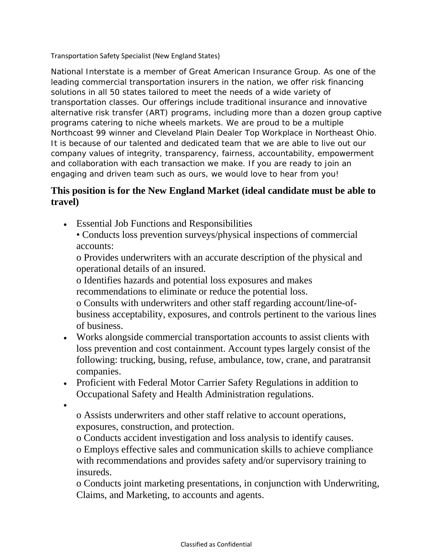Transportation Safety Specialist (New England States)

National Interstate is a member of Great American Insurance Group. As one of the leading commercial transportation insurers in the nation, we offer risk financing solutions in all 50 states tailored to meet the needs of a wide variety of transportation classes. Our offerings include traditional insurance and innovative alternative risk transfer (ART) programs, including more than a dozen group captive programs catering to niche wheels markets. We are proud to be a multiple Northcoast 99 winner and Cleveland Plain Dealer Top Workplace in Northeast Ohio. It is because of our talented and dedicated team that we are able to live out our company values of integrity, transparency, fairness, accountability, empowerment and collaboration with each transaction we make. If you are ready to join an engaging and driven team such as ours, we would love to hear from you!

## **This position is for the New England Market (ideal candidate must be able to travel)**

• Essential Job Functions and Responsibilities

• Conducts loss prevention surveys/physical inspections of commercial accounts:

o Provides underwriters with an accurate description of the physical and operational details of an insured.

o Identifies hazards and potential loss exposures and makes recommendations to eliminate or reduce the potential loss.

o Consults with underwriters and other staff regarding account/line-ofbusiness acceptability, exposures, and controls pertinent to the various lines of business.

- Works alongside commercial transportation accounts to assist clients with loss prevention and cost containment. Account types largely consist of the following: trucking, busing, refuse, ambulance, tow, crane, and paratransit companies.
- Proficient with Federal Motor Carrier Safety Regulations in addition to Occupational Safety and Health Administration regulations.
- •

o Assists underwriters and other staff relative to account operations, exposures, construction, and protection.

o Conducts accident investigation and loss analysis to identify causes. o Employs effective sales and communication skills to achieve compliance with recommendations and provides safety and/or supervisory training to insureds.

o Conducts joint marketing presentations, in conjunction with Underwriting, Claims, and Marketing, to accounts and agents.